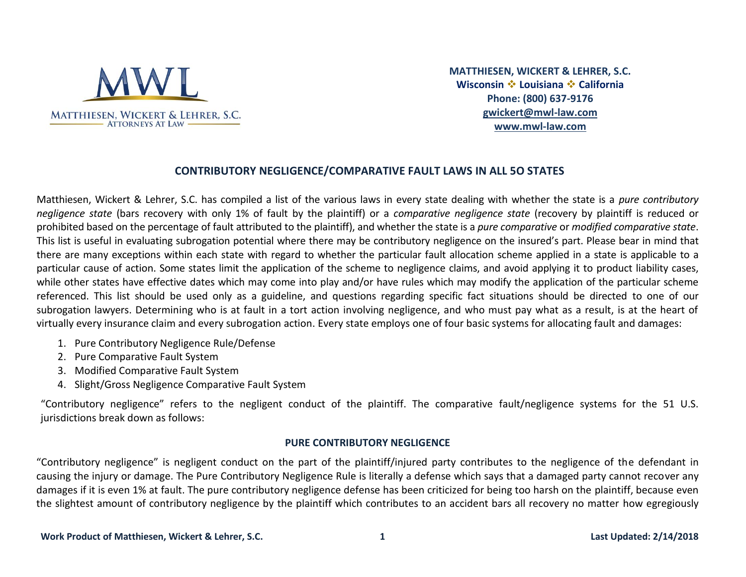

**MATTHIESEN, WICKERT & LEHRER, S.C. Wisconsin** ❖ **Louisiana** ❖ **California Phone: (800) 637-9176 [gwickert@mwl-law.com](mailto:gwickert@mwl-law.com) [www.mwl-law.com](http://www.mwl-law.com/)**

## **CONTRIBUTORY NEGLIGENCE/COMPARATIVE FAULT LAWS IN ALL 5O STATES**

Matthiesen, Wickert & Lehrer, S.C. has compiled a list of the various laws in every state dealing with whether the state is a *pure contributory negligence state* (bars recovery with only 1% of fault by the plaintiff) or a *comparative negligence state* (recovery by plaintiff is reduced or prohibited based on the percentage of fault attributed to the plaintiff), and whether the state is a *pure comparative* or *modified comparative state*. This list is useful in evaluating subrogation potential where there may be contributory negligence on the insured's part. Please bear in mind that there are many exceptions within each state with regard to whether the particular fault allocation scheme applied in a state is applicable to a particular cause of action. Some states limit the application of the scheme to negligence claims, and avoid applying it to product liability cases, while other states have effective dates which may come into play and/or have rules which may modify the application of the particular scheme referenced. This list should be used only as a guideline, and questions regarding specific fact situations should be directed to one of our subrogation lawyers. Determining who is at fault in a tort action involving negligence, and who must pay what as a result, is at the heart of virtually every insurance claim and every subrogation action. Every state employs one of four basic systems for allocating fault and damages:

- 1. Pure Contributory Negligence Rule/Defense
- 2. Pure Comparative Fault System
- 3. Modified Comparative Fault System
- 4. Slight/Gross Negligence Comparative Fault System

"Contributory negligence" refers to the negligent conduct of the plaintiff. The comparative fault/negligence systems for the 51 U.S. jurisdictions break down as follows:

### **PURE CONTRIBUTORY NEGLIGENCE**

"Contributory negligence" is negligent conduct on the part of the plaintiff/injured party contributes to the negligence of the defendant in causing the injury or damage. The Pure Contributory Negligence Rule is literally a defense which says that a damaged party cannot recover any damages if it is even 1% at fault. The pure contributory negligence defense has been criticized for being too harsh on the plaintiff, because even the slightest amount of contributory negligence by the plaintiff which contributes to an accident bars all recovery no matter how egregiously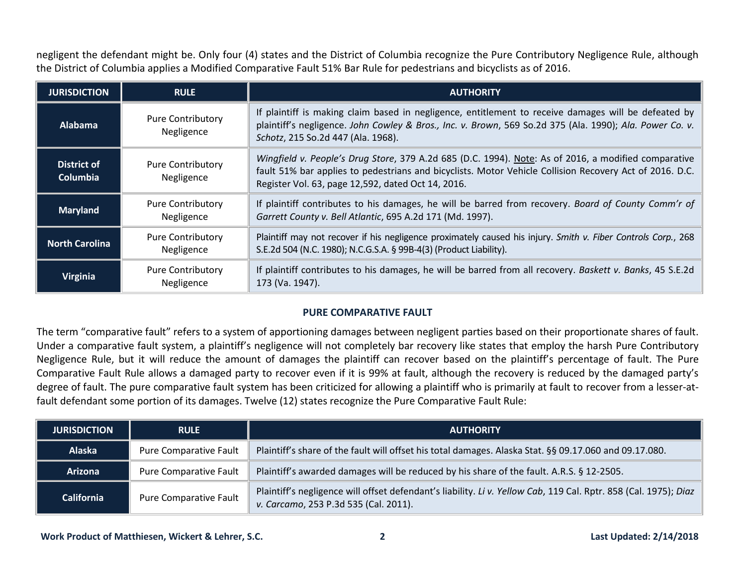negligent the defendant might be. Only four (4) states and the District of Columbia recognize the Pure Contributory Negligence Rule, although the District of Columbia applies a Modified Comparative Fault 51% Bar Rule for pedestrians and bicyclists as of 2016.

| <b>JURISDICTION</b>            | <b>RULE</b>                            | <b>AUTHORITY</b>                                                                                                                                                                                                                                                      |
|--------------------------------|----------------------------------------|-----------------------------------------------------------------------------------------------------------------------------------------------------------------------------------------------------------------------------------------------------------------------|
| <b>Alabama</b>                 | <b>Pure Contributory</b><br>Negligence | If plaintiff is making claim based in negligence, entitlement to receive damages will be defeated by<br>plaintiff's negligence. John Cowley & Bros., Inc. v. Brown, 569 So.2d 375 (Ala. 1990); Ala. Power Co. v.<br>Schotz, 215 So.2d 447 (Ala. 1968).                |
| District of<br><b>Columbia</b> | <b>Pure Contributory</b><br>Negligence | Wingfield v. People's Drug Store, 379 A.2d 685 (D.C. 1994). Note: As of 2016, a modified comparative<br>fault 51% bar applies to pedestrians and bicyclists. Motor Vehicle Collision Recovery Act of 2016. D.C.<br>Register Vol. 63, page 12,592, dated Oct 14, 2016. |
| <b>Maryland</b>                | <b>Pure Contributory</b><br>Negligence | If plaintiff contributes to his damages, he will be barred from recovery. Board of County Comm'r of<br>Garrett County v. Bell Atlantic, 695 A.2d 171 (Md. 1997).                                                                                                      |
| <b>North Carolina</b>          | <b>Pure Contributory</b><br>Negligence | Plaintiff may not recover if his negligence proximately caused his injury. Smith v. Fiber Controls Corp., 268<br>S.E.2d 504 (N.C. 1980); N.C.G.S.A. § 99B-4(3) (Product Liability).                                                                                   |
| Virginia                       | <b>Pure Contributory</b><br>Negligence | If plaintiff contributes to his damages, he will be barred from all recovery. Baskett v. Banks, 45 S.E.2d<br>173 (Va. 1947).                                                                                                                                          |

### **PURE COMPARATIVE FAULT**

The term "comparative fault" refers to a system of apportioning damages between negligent parties based on their proportionate shares of fault. Under a comparative fault system, a plaintiff's negligence will not completely bar recovery like states that employ the harsh Pure Contributory Negligence Rule, but it will reduce the amount of damages the plaintiff can recover based on the plaintiff's percentage of fault. The Pure Comparative Fault Rule allows a damaged party to recover even if it is 99% at fault, although the recovery is reduced by the damaged party's degree of fault. The pure comparative fault system has been criticized for allowing a plaintiff who is primarily at fault to recover from a lesser-atfault defendant some portion of its damages. Twelve (12) states recognize the Pure Comparative Fault Rule:

| <b>JURISDICTION</b> | <b>RULE</b>            | <b>AUTHORITY</b>                                                                                                                                          |
|---------------------|------------------------|-----------------------------------------------------------------------------------------------------------------------------------------------------------|
| <b>Alaska</b>       | Pure Comparative Fault | Plaintiff's share of the fault will offset his total damages. Alaska Stat. §§ 09.17.060 and 09.17.080.                                                    |
| <b>Arizona</b>      | Pure Comparative Fault | Plaintiff's awarded damages will be reduced by his share of the fault. A.R.S. § 12-2505.                                                                  |
| <b>California</b>   | Pure Comparative Fault | Plaintiff's negligence will offset defendant's liability. Li v. Yellow Cab, 119 Cal. Rptr. 858 (Cal. 1975); Diaz<br>v. Carcamo, 253 P.3d 535 (Cal. 2011). |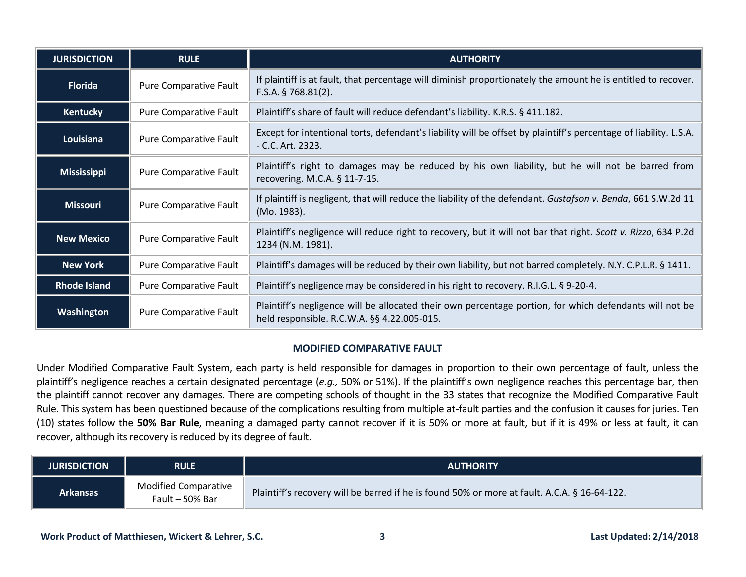| <b>JURISDICTION</b> | <b>RULE</b>            | <b>AUTHORITY</b>                                                                                                                                       |
|---------------------|------------------------|--------------------------------------------------------------------------------------------------------------------------------------------------------|
| <b>Florida</b>      | Pure Comparative Fault | If plaintiff is at fault, that percentage will diminish proportionately the amount he is entitled to recover.<br>$F.S.A.$ § 768.81(2).                 |
| <b>Kentucky</b>     | Pure Comparative Fault | Plaintiff's share of fault will reduce defendant's liability. K.R.S. § 411.182.                                                                        |
| Louisiana           | Pure Comparative Fault | Except for intentional torts, defendant's liability will be offset by plaintiff's percentage of liability. L.S.A.<br>- C.C. Art. 2323.                 |
| <b>Mississippi</b>  | Pure Comparative Fault | Plaintiff's right to damages may be reduced by his own liability, but he will not be barred from<br>recovering. M.C.A. § 11-7-15.                      |
| <b>Missouri</b>     | Pure Comparative Fault | If plaintiff is negligent, that will reduce the liability of the defendant. Gustafson v. Benda, 661 S.W.2d 11<br>(Mo. 1983).                           |
| <b>New Mexico</b>   | Pure Comparative Fault | Plaintiff's negligence will reduce right to recovery, but it will not bar that right. Scott v. Rizzo, 634 P.2d<br>1234 (N.M. 1981).                    |
| <b>New York</b>     | Pure Comparative Fault | Plaintiff's damages will be reduced by their own liability, but not barred completely. N.Y. C.P.L.R. § 1411.                                           |
| <b>Rhode Island</b> | Pure Comparative Fault | Plaintiff's negligence may be considered in his right to recovery. R.I.G.L. § 9-20-4.                                                                  |
| Washington          | Pure Comparative Fault | Plaintiff's negligence will be allocated their own percentage portion, for which defendants will not be<br>held responsible. R.C.W.A. §§ 4.22.005-015. |

### **MODIFIED COMPARATIVE FAULT**

Under Modified Comparative Fault System, each party is held responsible for damages in proportion to their own percentage of fault, unless the plaintiff's negligence reaches a certain designated percentage (*e.g.,* 50% or 51%). If the plaintiff's own negligence reaches this percentage bar, then the plaintiff cannot recover any damages. There are competing schools of thought in the 33 states that recognize the Modified Comparative Fault Rule. This system has been questioned because of the complications resulting from multiple at-fault parties and the confusion it causes for juries. Ten (10) states follow the **50% Bar Rule**, meaning a damaged party cannot recover if it is 50% or more at fault, but if it is 49% or less at fault, it can recover, although its recovery is reduced by its degree of fault.

| <b>JURISDICTION</b> | <b>RULE</b>                                    | <b>AUTHORITY</b>                                                                             |
|---------------------|------------------------------------------------|----------------------------------------------------------------------------------------------|
| Arkansas            | <b>Modified Comparative</b><br>Fault - 50% Bar | Plaintiff's recovery will be barred if he is found 50% or more at fault. A.C.A. § 16-64-122. |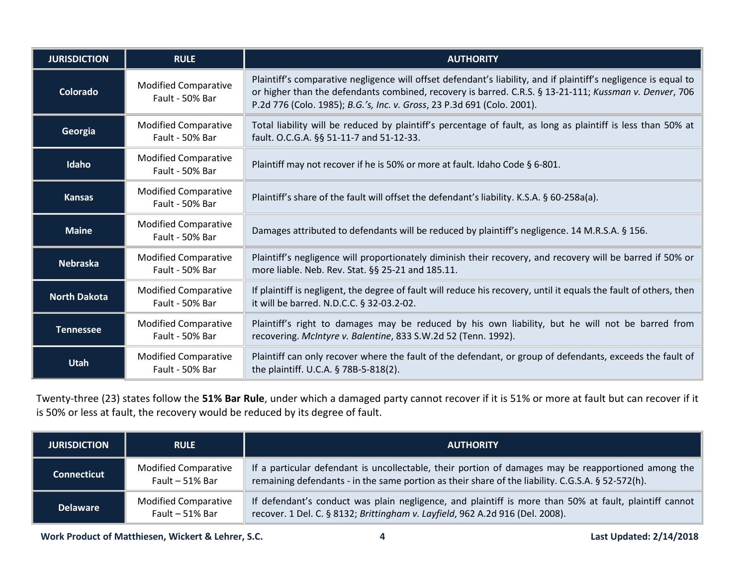| <b>JURISDICTION</b> | <b>RULE</b>                                    | <b>AUTHORITY</b>                                                                                                                                                                                                                                                                                     |
|---------------------|------------------------------------------------|------------------------------------------------------------------------------------------------------------------------------------------------------------------------------------------------------------------------------------------------------------------------------------------------------|
| Colorado            | <b>Modified Comparative</b><br>Fault - 50% Bar | Plaintiff's comparative negligence will offset defendant's liability, and if plaintiff's negligence is equal to<br>or higher than the defendants combined, recovery is barred. C.R.S. § 13-21-111; Kussman v. Denver, 706<br>P.2d 776 (Colo. 1985); B.G.'s, Inc. v. Gross, 23 P.3d 691 (Colo. 2001). |
| Georgia             | <b>Modified Comparative</b><br>Fault - 50% Bar | Total liability will be reduced by plaintiff's percentage of fault, as long as plaintiff is less than 50% at<br>fault. O.C.G.A. §§ 51-11-7 and 51-12-33.                                                                                                                                             |
| Idaho               | <b>Modified Comparative</b><br>Fault - 50% Bar | Plaintiff may not recover if he is 50% or more at fault. Idaho Code § 6-801.                                                                                                                                                                                                                         |
| <b>Kansas</b>       | <b>Modified Comparative</b><br>Fault - 50% Bar | Plaintiff's share of the fault will offset the defendant's liability. K.S.A. § 60-258a(a).                                                                                                                                                                                                           |
| <b>Maine</b>        | <b>Modified Comparative</b><br>Fault - 50% Bar | Damages attributed to defendants will be reduced by plaintiff's negligence. 14 M.R.S.A. § 156.                                                                                                                                                                                                       |
| <b>Nebraska</b>     | <b>Modified Comparative</b><br>Fault - 50% Bar | Plaintiff's negligence will proportionately diminish their recovery, and recovery will be barred if 50% or<br>more liable. Neb. Rev. Stat. §§ 25-21 and 185.11.                                                                                                                                      |
| <b>North Dakota</b> | <b>Modified Comparative</b><br>Fault - 50% Bar | If plaintiff is negligent, the degree of fault will reduce his recovery, until it equals the fault of others, then<br>it will be barred. N.D.C.C. § 32-03.2-02.                                                                                                                                      |
| <b>Tennessee</b>    | <b>Modified Comparative</b><br>Fault - 50% Bar | Plaintiff's right to damages may be reduced by his own liability, but he will not be barred from<br>recovering. McIntyre v. Balentine, 833 S.W.2d 52 (Tenn. 1992).                                                                                                                                   |
| <b>Utah</b>         | <b>Modified Comparative</b><br>Fault - 50% Bar | Plaintiff can only recover where the fault of the defendant, or group of defendants, exceeds the fault of<br>the plaintiff. U.C.A. § 78B-5-818(2).                                                                                                                                                   |

Twenty-three (23) states follow the **51% Bar Rule**, under which a damaged party cannot recover if it is 51% or more at fault but can recover if it is 50% or less at fault, the recovery would be reduced by its degree of fault.

| <b>JURISDICTION</b> | <b>RULE</b>                                      | <b>AUTHORITY</b>                                                                                                                                                                                         |
|---------------------|--------------------------------------------------|----------------------------------------------------------------------------------------------------------------------------------------------------------------------------------------------------------|
| <b>Connecticut</b>  | <b>Modified Comparative</b><br>Fault $-51\%$ Bar | If a particular defendant is uncollectable, their portion of damages may be reapportioned among the<br>remaining defendants - in the same portion as their share of the liability. C.G.S.A. § 52-572(h). |
| <b>Delaware</b>     | <b>Modified Comparative</b><br>Fault $-51\%$ Bar | If defendant's conduct was plain negligence, and plaintiff is more than 50% at fault, plaintiff cannot<br>recover. 1 Del. C. § 8132; Brittingham v. Layfield, 962 A.2d 916 (Del. 2008).                  |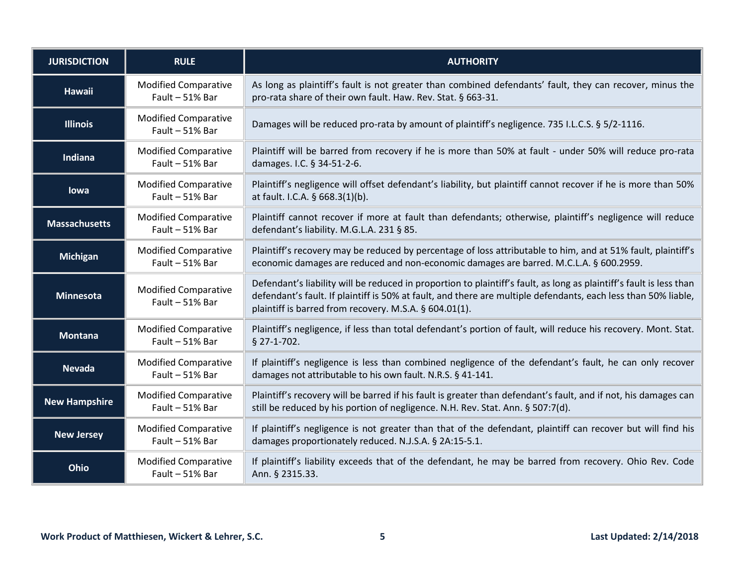| <b>JURISDICTION</b>  | <b>RULE</b>                                      | <b>AUTHORITY</b>                                                                                                                                                                                                                                                                                |
|----------------------|--------------------------------------------------|-------------------------------------------------------------------------------------------------------------------------------------------------------------------------------------------------------------------------------------------------------------------------------------------------|
| <b>Hawaii</b>        | <b>Modified Comparative</b><br>Fault $-51%$ Bar  | As long as plaintiff's fault is not greater than combined defendants' fault, they can recover, minus the<br>pro-rata share of their own fault. Haw. Rev. Stat. § 663-31.                                                                                                                        |
| <b>Illinois</b>      | <b>Modified Comparative</b><br>Fault - 51% Bar   | Damages will be reduced pro-rata by amount of plaintiff's negligence. 735 I.L.C.S. § 5/2-1116.                                                                                                                                                                                                  |
| Indiana              | <b>Modified Comparative</b><br>Fault - 51% Bar   | Plaintiff will be barred from recovery if he is more than 50% at fault - under 50% will reduce pro-rata<br>damages. I.C. § 34-51-2-6.                                                                                                                                                           |
| lowa                 | <b>Modified Comparative</b><br>Fault $-51\%$ Bar | Plaintiff's negligence will offset defendant's liability, but plaintiff cannot recover if he is more than 50%<br>at fault. I.C.A. § 668.3(1)(b).                                                                                                                                                |
| <b>Massachusetts</b> | <b>Modified Comparative</b><br>Fault - 51% Bar   | Plaintiff cannot recover if more at fault than defendants; otherwise, plaintiff's negligence will reduce<br>defendant's liability. M.G.L.A. 231 § 85.                                                                                                                                           |
| <b>Michigan</b>      | <b>Modified Comparative</b><br>Fault - 51% Bar   | Plaintiff's recovery may be reduced by percentage of loss attributable to him, and at 51% fault, plaintiff's<br>economic damages are reduced and non-economic damages are barred. M.C.L.A. § 600.2959.                                                                                          |
| <b>Minnesota</b>     | <b>Modified Comparative</b><br>Fault $-51%$ Bar  | Defendant's liability will be reduced in proportion to plaintiff's fault, as long as plaintiff's fault is less than<br>defendant's fault. If plaintiff is 50% at fault, and there are multiple defendants, each less than 50% liable,<br>plaintiff is barred from recovery. M.S.A. § 604.01(1). |
| <b>Montana</b>       | <b>Modified Comparative</b><br>Fault - 51% Bar   | Plaintiff's negligence, if less than total defendant's portion of fault, will reduce his recovery. Mont. Stat.<br>$$27-1-702.$                                                                                                                                                                  |
| <b>Nevada</b>        | <b>Modified Comparative</b><br>Fault - 51% Bar   | If plaintiff's negligence is less than combined negligence of the defendant's fault, he can only recover<br>damages not attributable to his own fault. N.R.S. § 41-141.                                                                                                                         |
| <b>New Hampshire</b> | <b>Modified Comparative</b><br>Fault - 51% Bar   | Plaintiff's recovery will be barred if his fault is greater than defendant's fault, and if not, his damages can<br>still be reduced by his portion of negligence. N.H. Rev. Stat. Ann. § 507:7(d).                                                                                              |
| <b>New Jersey</b>    | <b>Modified Comparative</b><br>Fault - 51% Bar   | If plaintiff's negligence is not greater than that of the defendant, plaintiff can recover but will find his<br>damages proportionately reduced. N.J.S.A. § 2A:15-5.1.                                                                                                                          |
| Ohio                 | <b>Modified Comparative</b><br>Fault - 51% Bar   | If plaintiff's liability exceeds that of the defendant, he may be barred from recovery. Ohio Rev. Code<br>Ann. § 2315.33.                                                                                                                                                                       |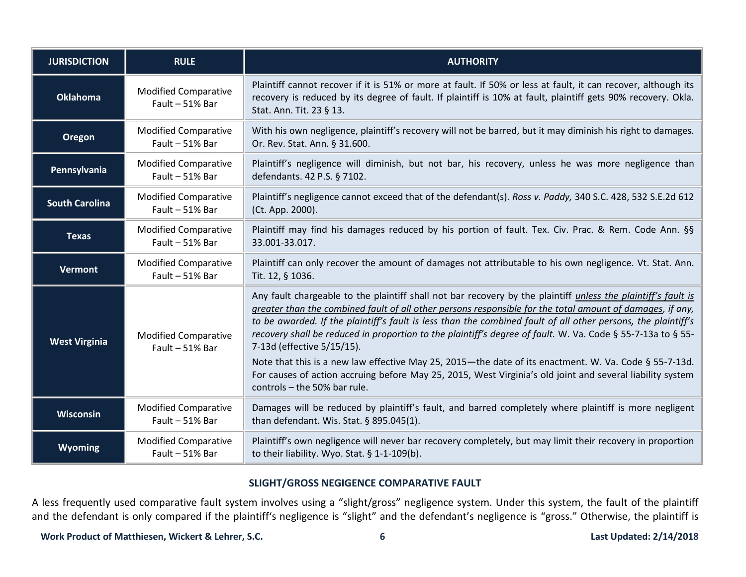| <b>JURISDICTION</b>   | <b>RULE</b>                                    | <b>AUTHORITY</b>                                                                                                                                                                                                                                                                                                                                                                                                                                                                                                                                                                                                                                                                                                                               |
|-----------------------|------------------------------------------------|------------------------------------------------------------------------------------------------------------------------------------------------------------------------------------------------------------------------------------------------------------------------------------------------------------------------------------------------------------------------------------------------------------------------------------------------------------------------------------------------------------------------------------------------------------------------------------------------------------------------------------------------------------------------------------------------------------------------------------------------|
| <b>Oklahoma</b>       | <b>Modified Comparative</b><br>Fault - 51% Bar | Plaintiff cannot recover if it is 51% or more at fault. If 50% or less at fault, it can recover, although its<br>recovery is reduced by its degree of fault. If plaintiff is 10% at fault, plaintiff gets 90% recovery. Okla.<br>Stat. Ann. Tit. 23 § 13.                                                                                                                                                                                                                                                                                                                                                                                                                                                                                      |
| <b>Oregon</b>         | <b>Modified Comparative</b><br>Fault - 51% Bar | With his own negligence, plaintiff's recovery will not be barred, but it may diminish his right to damages.<br>Or. Rev. Stat. Ann. § 31.600.                                                                                                                                                                                                                                                                                                                                                                                                                                                                                                                                                                                                   |
| Pennsylvania          | <b>Modified Comparative</b><br>Fault - 51% Bar | Plaintiff's negligence will diminish, but not bar, his recovery, unless he was more negligence than<br>defendants. 42 P.S. § 7102.                                                                                                                                                                                                                                                                                                                                                                                                                                                                                                                                                                                                             |
| <b>South Carolina</b> | <b>Modified Comparative</b><br>Fault - 51% Bar | Plaintiff's negligence cannot exceed that of the defendant(s). Ross v. Paddy, 340 S.C. 428, 532 S.E.2d 612<br>(Ct. App. 2000).                                                                                                                                                                                                                                                                                                                                                                                                                                                                                                                                                                                                                 |
| <b>Texas</b>          | <b>Modified Comparative</b><br>Fault - 51% Bar | Plaintiff may find his damages reduced by his portion of fault. Tex. Civ. Prac. & Rem. Code Ann. §§<br>33.001-33.017.                                                                                                                                                                                                                                                                                                                                                                                                                                                                                                                                                                                                                          |
| <b>Vermont</b>        | <b>Modified Comparative</b><br>Fault - 51% Bar | Plaintiff can only recover the amount of damages not attributable to his own negligence. Vt. Stat. Ann.<br>Tit. 12, § 1036.                                                                                                                                                                                                                                                                                                                                                                                                                                                                                                                                                                                                                    |
| <b>West Virginia</b>  | <b>Modified Comparative</b><br>Fault - 51% Bar | Any fault chargeable to the plaintiff shall not bar recovery by the plaintiff unless the plaintiff's fault is<br>greater than the combined fault of all other persons responsible for the total amount of damages, if any,<br>to be awarded. If the plaintiff's fault is less than the combined fault of all other persons, the plaintiff's<br>recovery shall be reduced in proportion to the plaintiff's degree of fault. W. Va. Code § 55-7-13a to § 55-<br>7-13d (effective 5/15/15).<br>Note that this is a new law effective May 25, 2015-the date of its enactment. W. Va. Code § 55-7-13d.<br>For causes of action accruing before May 25, 2015, West Virginia's old joint and several liability system<br>controls - the 50% bar rule. |
| Wisconsin             | <b>Modified Comparative</b><br>Fault - 51% Bar | Damages will be reduced by plaintiff's fault, and barred completely where plaintiff is more negligent<br>than defendant. Wis. Stat. § 895.045(1).                                                                                                                                                                                                                                                                                                                                                                                                                                                                                                                                                                                              |
| Wyoming               | <b>Modified Comparative</b><br>Fault - 51% Bar | Plaintiff's own negligence will never bar recovery completely, but may limit their recovery in proportion<br>to their liability. Wyo. Stat. § 1-1-109(b).                                                                                                                                                                                                                                                                                                                                                                                                                                                                                                                                                                                      |

# **SLIGHT/GROSS NEGIGENCE COMPARATIVE FAULT**

A less frequently used comparative fault system involves using a "slight/gross" negligence system. Under this system, the fault of the plaintiff and the defendant is only compared if the plaintiff's negligence is "slight" and the defendant's negligence is "gross." Otherwise, the plaintiff is

## Work Product of Matthiesen, Wickert & Lehrer, S.C. 6 **Last Updated: 2/14/2018 Last Updated: 2/14/2018**